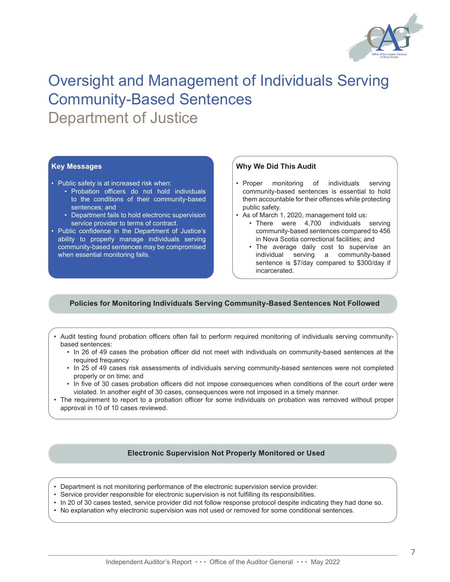

# Oversight and Management of Individuals Serving Community-Based Sentences Department of Justice

## **Key Messages**

- Public safety is at increased risk when:
	- • Probation officers do not hold individuals to the conditions of their community-based sentences; and
	- Department fails to hold electronic supervision service provider to terms of contract.
- Public confidence in the Department of Justice's ability to properly manage individuals serving community-based sentences may be compromised when essential monitoring fails.

## **Why We Did This Audit**

- Proper monitoring of individuals serving community-based sentences is essential to hold them accountable for their offences while protecting public safety.
- As of March 1, 2020, management told us:
	- There were 4,700 individuals serving community-based sentences compared to 456 in Nova Scotia correctional facilities; and
	- The average daily cost to supervise an individual serving a community-based sentence is \$7/day compared to \$300/day if incarcerated.

## **Policies for Monitoring Individuals Serving Community-Based Sentences Not Followed**

• Audit testing found probation officers often fail to perform required monitoring of individuals serving communitybased sentences:

- • In 26 of 49 cases the probation officer did not meet with individuals on community-based sentences at the required frequency
- • In 25 of 49 cases risk assessments of individuals serving community-based sentences were not completed properly or on time; and
- • In five of 30 cases probation officers did not impose consequences when conditions of the court order were violated. In another eight of 30 cases, consequences were not imposed in a timely manner.
- The requirement to report to a probation officer for some individuals on probation was removed without proper approval in 10 of 10 cases reviewed.

## **Electronic Supervision Not Properly Monitored or Used**

- • Department is not monitoring performance of the electronic supervision service provider.
- • Service provider responsible for electronic supervision is not fulfilling its responsibilities.
- • In 20 of 30 cases tested, service provider did not follow response protocol despite indicating they had done so.
- • No explanation why electronic supervision was not used or removed for some conditional sentences.